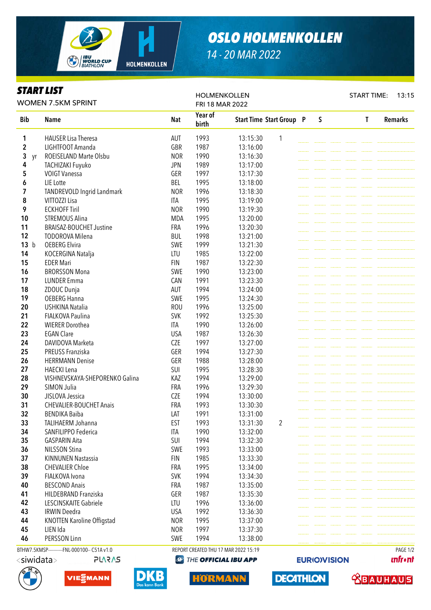

## *OSLO HOLMENKOLLEN*

*14 - 20 MAR 2022*

## *START LIST*

Bib Name Nat Year of birth Start Time Start Group P S T Remarks **1** HAUSER Lisa Theresa **13:15:30** 13:15:30 1 2 LIGHTFOOT Amanda GBR 1987 13:16:00 3 yr ROEISELAND Marte Olsbu NOR 1990 13:16:30 4 TACHIZAKI Fuyuko JPN 1989 13:17:00 **5** VOIGT Vanessa **CER** 1997 13:17:30 6 LIE Lotte BEL 1995 13:18:00 7 TANDREVOLD Ingrid Landmark NOR 1996 13:18:30 **8** VITTOZZI Lisa **ITA** 1995 13:19:00 **9** ECKHOFF Tiril **1990** 13:19:30 **10 STREMOUS Alina** MDA 1995 13:20:00 11 BRAISAZ-BOUCHET Justine FRA 1996 13:20:30 12 TODOROVA Milena BUL 1998 13:21:00 **13** b OEBERG Elvira **SWE** 1999 13:21:30 14 KOCERGINA Natalja LTU 1985 13:22:00 15 EDER Mari **FIN** 1987 13:22:30 **16** BRORSSON Mona SWE 1990 13:23:00 17 LUNDER Emma CAN 1991 13:23:30 18 ZDOUC Dunja **18** AUT 1994 13:24:00 **19** OEBERG Hanna **SWE** 1995 13:24:30 20 USHKINA Natalia ROU 1996 13:25:00 21 FIALKOVA Paulina SVK 1992 13:25:30 **22** WIERER Dorothea **ITA** 1990 13:26:00 **23** EGAN Clare 20 **13:26:30** 24 DAVIDOVA Marketa CZE 1997 13:27:00 25 PREUSS Franziska GER 1994 13:27:30 **26 HERRMANN Denise CER** 1988 13:28:00 27 HAECKI Lena SUI 1995 13:28:30 28 VISHNEVSKAYA-SHEPORENKO Galina KAZ 1994 13:29:00 **29** SIMON Julia **FRA** 1996 13:29:30 30 JISLOVA Jessica CZE 1994 13:30:00 31 CHEVALIER-BOUCHET Anais FRA 1993 13:30:30 **32** BENDIKA Baiba **LAT** 1991 13:31:00 33 TALIHAERM Johanna EST 1993 13:31:30 2 **34** SANFILIPPO Federica **ITA** 1990 13:32:00 **35** GASPARIN Aita **SUI 1994** 13:32:30 **36** NILSSON Stina SWE 1993 13:33:00 37 KINNUNEN Nastassia FIN 1985 13:33:30 **38** CHEVALIER Chloe **FRA** 1995 13:34:00 39 FIALKOVA Ivona SVK 1994 13:34:30 40 BESCOND Anais FRA 1987 13:35:00 **41** HILDEBRAND Franziska GER 1987 13:35:30 **42** LESCINSKAITE Gabriele LTU 1996 13:36:00 **43** IRWIN Deedra **1992** ISA 1992 13:36:30 44 KNOTTEN Karoline Offigstad NOR 1995 13:37:00 45 LIEN Ida NOR 1997 13:37:30 **46** PERSSON Linn SWE 1994 13:38:00 WOMEN 7.5KM SPRINT HOLMENKOLLEN FRI 18 MAR 2022 START TIME: 13:15 BTHW7.5KMSP-----------FNL-000100-- C51A v1.0 REPORT CREATED THU 17 MAR 2022 15:19 PAGE 1/2



HORMANN

**unfront** 

**ABAUHAUS** 

**EURIO)VISION** 

**DECATHLON** 



 $\langle$ siwidata $>$ 





PLARAS